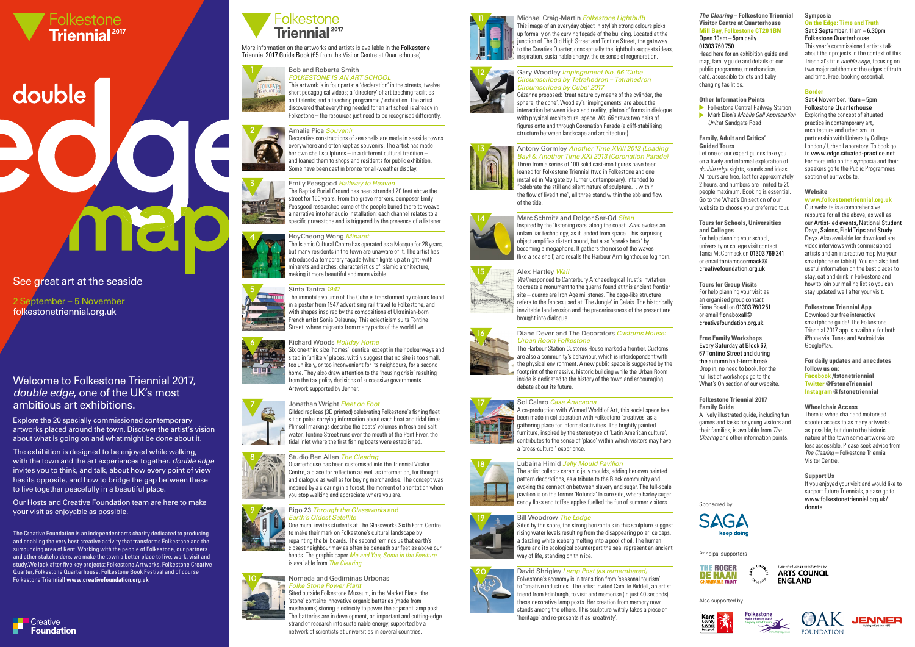# Folkestone Triennial<sup>2017</sup>

# double

Michael Craig-Martin *Folkestone Lightbulb* This image of an everyday object in stylish strong colours picks up formally on the curving façade of the building. Located at the junction of The Old High Street and Tontine Street, the gateway to the Creative Quarter, conceptually the lightbulb suggests ideas, inspiration, sustainable energy, the essence of regeneration.

### Gary Woodley *Impingement No. 66 'Cube Circumscribed by Tetrahedron – Tetrahedron Circumscribed by Cube' 2017*

Cézanne proposed: 'treat nature by means of the cylinder, the sphere, the cone'. Woodley's 'impingements' are about the interaction between ideas and reality, 'platonic' forms in dialogue with physical architectural space. *No. 66* draws two pairs of figures onto and through Coronation Parade (a cliff-stabilising structure between landscape and architecture).

Antony Gormley *Another Time XVIII 2013 (Loading Bay)* & *Another Time XXI 2013 (Coronation Parade)* Three from a series of 100 solid cast-iron figures have been loaned for Folkestone Triennial (two in Folkestone and one installed in Margate by Turner Contemporary). Intended to "celebrate the still and silent nature of sculpture… within the flow of lived time", all three stand within the ebb and flow of the tide.

Marc Schmitz and Dolgor Ser-Od *Siren* Inspired by the 'listening ears' along the coast, *Siren* evokes an unfamiliar technology, as if landed from space. This surprising object amplifies distant sound, but also 'speaks back' by becoming a megaphone. It gathers the noise of the waves (like a sea shell) and recalls the Harbour Arm lighthouse fog horn.

### Alex Hartley *Wall*

*Wall* responded to Canterbury Archaeological Trust's invitation to create a monument to the querns found at this ancient frontier site – querns are Iron Age millstones. The cage-like structure refers to the fences used at 'The Jungle' in Calais. The historically inevitable land erosion and the precariousness of the present are brought into dialogue.

### Diane Dever and The Decorators *Customs House: Urban Room Folkestone*

The Harbour Station Customs House marked a frontier. Customs are also a community's behaviour, which is interdependent with the physical environment. A new public space is suggested by the footprint of the massive, historic building while the Urban Room inside is dedicated to the history of the town and encouraging debate about its future.

### Sol Calero *Casa Anacaona*

A co-production with Womad World of Art, this social space has been made in collaboration with Folkestone 'creatives' as a gathering place for informal activities. The brightly painted furniture, inspired by the stereotype of 'Latin American culture', contributes to the sense of 'place' within which visitors may have a 'cross-cultural' experience.

### Lubaina Himid *Jelly Mould Pavilion*

The artist collects ceramic jelly moulds, adding her own painted pattern decorations, as a tribute to the Black community and evoking the connection between slavery and sugar. The full-scale pavilion is on the former 'Rotunda' leisure site, where barley sugar candy floss and toffee apples fuelled the fun of summer visitors.

### Bill Woodrow *The Ledge* Sited by the shore, the strong horizontals in this sculpture suggest rising water levels resulting from the disappearing polar ice caps, a dazzling white iceberg melting into a pool of oil. The human figure and its ecological counterpart the seal represent an ancient

way of life, standing on thin ice.

David Shrigley *Lamp Post (as remembered)* Folkestone's economy is in transition from 'seasonal tourism' to 'creative industries'. The artist invited Camille Biddell, an artist friend from Edinburgh, to visit and memorise (in just 40 seconds) these decorative lamp posts. Her creation from memory now stands among the others. This sculpture wittily takes a piece of 'heritage' and re-presents it as 'creativity'.







**12**

















2 September – 5 November folkestonetriennial.org.uk

# See great art at the seaside

### Bob and Roberta Smith *FOLKESTONE IS AN ART SCHOOL*

**Folkestone Central Railway Station** Mark Dion's *Mobile Gull Appreciation Unit* at Sandgate Road

and talents; and a teaching programme / exhibition. The artist discovered that everything needed for an art school is already in Folkestone – the resources just need to be recognised differently. Amalia Pica *Souvenir*

Decorative constructions of sea shells are made in seaside towns everywhere and often kept as souvenirs. The artist has made her own shell sculptures – in a different cultural tradition – and loaned them to shops and residents for public exhibition. Some have been cast in bronze for all-weather display.

### Emily Peasgood *Halfway to Heaven*

The Baptist Burial Ground has been stranded 20 feet above the street for 150 years. From the grave markers, composer Emily Peasgood researched some of the people buried there to weave a narrative into her audio installation: each channel relates to a specific gravestone and is triggered by the presence of a listener.

### HoyCheong Wong *Minaret*

The Islamic Cultural Centre has operated as a Mosque for 28 years, but many residents in the town are unaware of it. The artist has introduced a temporary façade (which lights up at night) with minarets and arches, characteristics of Islamic architecture, making it more beautiful and more visible.

### Sinta Tantra *1947*

The immobile volume of The Cube is transformed by colours found in a poster from 1947 advertising rail travel to Folkestone, and with shapes inspired by the compositions of Ukrainian-born French artist Sonia Delaunay. This eclecticism suits Tontine Street, where migrants from many parts of the world live. Richard Woods *Holiday Home*



Six one-third size 'homes' identical except in their colourways and sited in 'unlikely' places, wittily suggest that no site is too small, too unlikely, or too inconvenient for its neighbours, for a second home. They also draw attention to the 'housing crisis' resulting from the tax policy decisions of successive governments. Artwork supported by Jenner.

### Jonathan Wright *Fleet on Foot*

Gilded replicas (3D printed) celebrating Folkestone's fishing fleet sit on poles carrying information about each boat and tidal times. Plimsoll markings describe the boats' volumes in fresh and salt water. Tontine Street runs over the mouth of the Pent River, the tidal inlet where the first fishing boats were established.

### Studio Ben Allen *The Clearing*

Rigo 23 *Through the Glassworks* and *Earth's Oldest Satellite* One mural invites students at The Glassworks Sixth Form Centre to make their mark on Folkestone's cultural landscape by repainting the billboards. The second reminds us that earth's closest neighbour may as often be beneath our feet as above our heads. The graphic paper *Me and You, Some in the Fewture* is available from *The Clearing*



 $\sqrt{16}$ 



### Nomeda and Gediminas Urbonas *Folke Stone Power Plant*

Sited outside Folkestone Museum, in the Market Place, the 'stone' contains innovative organic batteries (made from mushrooms) storing electricity to power the adjacent lamp post. The batteries are in development, an important and cutting-edge strand of research into sustainable energy, supported by a network of scientists at universities in several countries.

**2**

**3**

**4**





**7**

**8**



More information on the artworks and artists is available in the Folkestone Triennial 2017 Guide Book (£5 from the Visitor Centre at Quarterhouse)

### *The Clearing* **– Folkestone Triennial Visitor Centre at Quarterhouse Mill Bay, Folkestone CT20 1BN** Open 10am – 5pm daily 01303 760 750

Head here for an exhibition guide and map, family guide and details of our public programme, merchandise, café, accessible toilets and baby changing facilities.

### **Other Information Points**

### **Family, Adult and Critics' Guided Tours**

Let one of our expert guides take you on a lively and informal exploration of *double edge* sights, sounds and ideas. All tours are free, last for approximately 2 hours, and numbers are limited to 25 people maximum. Booking is essential. Go to the What's On section of our website to choose your preferred tour.

### **Tours for Schools, Universities and Colleges**

For help planning your school, university or college visit contact Tania McCormack on 01303 769 241 or email taniamccormack@ creativefoundation.org.uk

### **Tours for Group Visits**

For help planning your visit as an organised group contact Fiona Boxall on 01303 760 251 or email fionaboxall@ creativefoundation.org.uk

### **Free Family Workshops** Every Saturday at Block 67, 67 Tontine Street and during the autumn half-term break Drop in, no need to book. For the full list of workshops go to the What's On section of our website.

### **Folkestone Triennial 2017 Family Guide**

A lively illustrated guide, including fun games and tasks for young visitors and their families, is available from *The Clearing* and other information points.

### **Symposia**

### **On the Edge: Time and Truth** Sat 2 September, 11am – 6.30pm

Folkestone Quarterhouse This year's commissioned artists talk about their projects in the context of this Triennial's title *double edge*, focusing on two major subthemes: the edges of truth and time. Free, booking essential.

### **Border**

### Sat 4 November, 10am – 5pm Folkestone Quarterhouse Exploring the concept of situated practice in contemporary art, architecture and urbanism. In partnership with University College London / Urban Laboratory. To book go to www.edge.situated-practice.net For more info on the symposia and their speakers go to the Public Programmes section of our website.

### **Website**

### **www.folkestonetriennial.org.uk**

Our website is a comprehensive resource for all the above, as well as our Artist-led events, National Student Days, Salons, Field Trips and Study Days. Also available for download are video interviews with commissioned artists and an interactive map (via your smartphone or tablet). You can also find useful information on the best places to stay, eat and drink in Folkestone and how to join our mailing list so you can stay updated well after your visit.

### **Folkestone Triennial App**

Download our free interactive smartphone guide! The Folkestone Triennial 2017 app is available for both iPhone via iTunes and Android via GooglePlay.

### **For daily updates and anecdotes follow us on: Facebook /fstonetriennial Twitter @FstoneTriennial**

**Instagram @fstonetriennial**

### **Wheelchair Access**

There is wheelchair and motorised scooter access to as many artworks as possible, but due to the historic nature of the town some artworks are less accessible. Please seek advice from *The Clearing* – Folkestone Triennial Visitor Centre.

### **Support Us**

If you enjoyed your visit and would like to support future Triennials, please go to www.folkestonetriennial.org.uk/ donate

Principal supporters







Also supported by









Sponsored by



# Welcome to Folkestone Triennial 2017, *double edge*, one of the UK's most ambitious art exhibitions.

Explore the 20 specially commissioned contemporary artworks placed around the town. Discover the artist's vision about what is going on and what might be done about it.

The exhibition is designed to be enjoyed while walking, with the town and the art experiences together. *double edge* invites you to think, and talk, about how every point of view has its opposite, and how to bridge the gap between these to live together peacefully in a beautiful place.

Our Hosts and Creative Foundation team are here to make your visit as enjoyable as possible.

The Creative Foundation is an independent arts charity dedicated to producing and enabling the very best creative activity that transforms Folkestone and the surrounding area of Kent. Working with the people of Folkestone, our partners and other stakeholders, we make the town a better place to live, work, visit and study.We look after five key projects: Folkestone Artworks, Folkestone Creative Quarter, Folkestone Quarterhouse, Folkestone Book Festival and of course Folkestone Triennial! **www.creativefoundation.org.uk**

# Folkestone **Triennial**<sup>2017</sup>